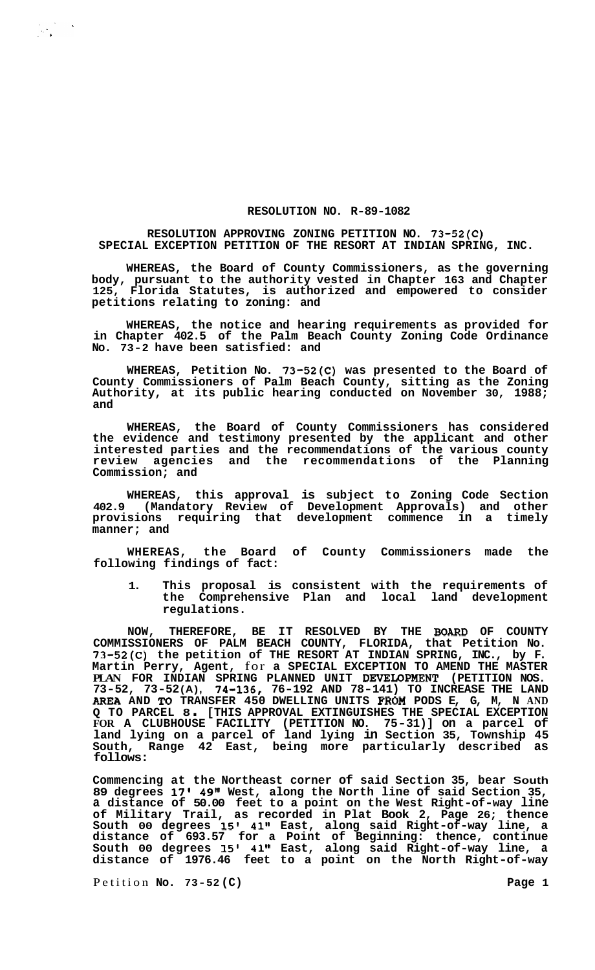## **RESOLUTION NO. R-89-1082**

## **RESOLUTION APPROVING ZONING PETITION NO. 73-52(C) SPECIAL EXCEPTION PETITION OF THE RESORT AT INDIAN SPRING, INC.**

**WHEREAS, the Board of County Commissioners, as the governing body, pursuant to the authority vested in Chapter 163 and Chapter 125, Florida Statutes, is authorized and empowered to consider petitions relating to zoning: and** 

**WHEREAS, the notice and hearing requirements as provided for in Chapter 402.5 of the Palm Beach County Zoning Code Ordinance No. 73-2 have been satisfied: and** 

**WHEREAS, Petition No. 73-52(C) was presented to the Board of County Commissioners of Palm Beach County, sitting as the Zoning Authority, at its public hearing conducted on November 30, 1988; and** 

**WHEREAS, the Board of County Commissioners has considered the evidence and testimony presented by the applicant and other interested parties and the recommendations of the various county review agencies and the recommendations of the Planning Commission; and** 

WHEREAS, this approval is subject to Zoning Code Section<br>402.9 (Mandatory Review of Development Approvals) and other (Mandatory Review of Development Approvals) and other **provisions requiring that development commence in a timely manner; and** 

**WHEREAS, the Board of County Commissioners made the following findings of fact:** 

**1. This proposal is consistent with the requirements of the Comprehensive Plan and local land development regulations.** 

**NOW, THEREFORE, BE IT RESOLVED BY THE WARD OF COUNTY COMMISSIONERS OF PALM BEACH COUNTY, FLORIDA, that Petition No. 73-52(C) the petition of THE RESORT AT INDIAN SPRING, INC., by F. Martin Perry, Agent,** for **a SPECIAL EXCEPTION TO AMEND THE MASTER PLAN FOR INDIAN SPRING PLANNED UNIT DEVEIDPMENT (PETITION NOS. 73-52, 73-52 (A), 74-136, 76-192 AND 78-141) TO INCREASE THE LAND AREA AND To TRANSFER 450 DWELLING UNITS FROM PODS E, G, M, N AND Q TO PARCEL 8** . **[THIS APPROVAL EXTINGUISHES THE SPECIAL EXCEPTION FOR A CLUBHOUSE FACILITY (PETITION NO. 75-31)] on a parcel of land lying on a parcel of land lying in Section 35, Township 45 South, Range 42 East, being more particularly described as follows:** 

**Commencing at the Northeast corner of said Section 35, bear South 89 degrees 17' 49" West, along the North line of said Section 35, a distance of 50.00 feet to a point on the West Right-of-way line of Military Trail, as recorded in Plat Book 2, Page 26; thence South 00 degrees 15' 41" East, along said Right-of-way line, a distance of 693.57 for a Point of Beginning: thence, continue South 00 degrees 15' 41" East, along said Right-of-way line, a distance of 1976.46 feet to a point on the North Right-of-way** 

Petition **No.** 73-52 (C) Petition **Page 1**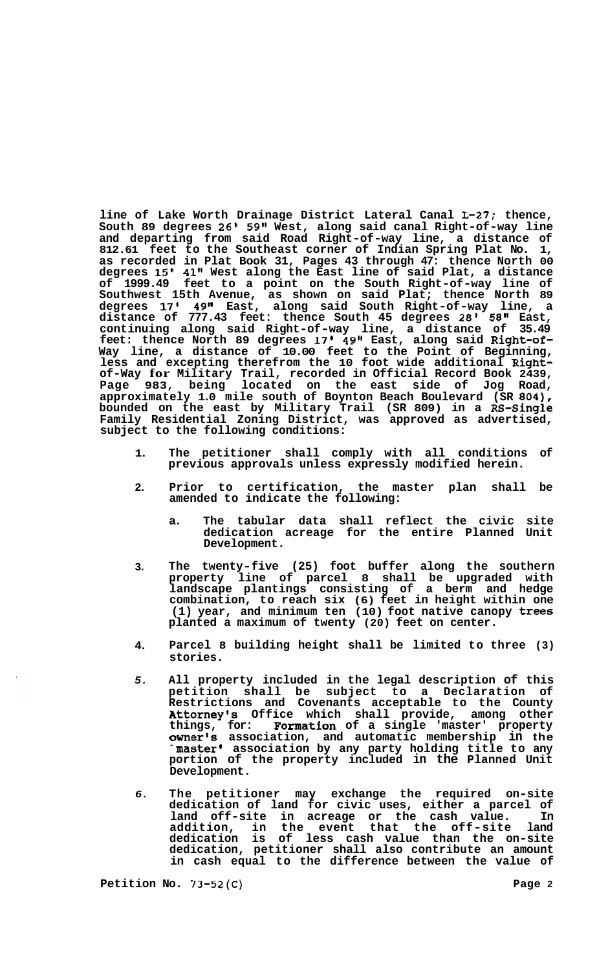**line of Lake Worth Drainage District Lateral Canal L-27: thence, South 89 degrees 26' 59" West, along said canal Right-of-way line and departing from said Road Right-of-way line, a distance of 812.61 feet to the Southeast corner of Indian Spring Plat No. 1, as recorded in Plat Book 31, Pages 43 through 47: thence North 00 degrees 15' 41" West along the East line of said Plat, a distance of 1999.49 feet to a point on the South Right-of-way line of Southwest 15th Avenue, as shown on said Plat; thence North 89 degrees 17' 49" East, along said South Right-of-way line, a distance of 777.43 feet: thence South 45 degrees 28' 58" East, continuing along said Right-of-way line, a distance of 35.49 feet: thence North 89 degrees 17' 49" East, along said Right-of-Way line, a distance of 10.00 feet to the Point of Beginning, less and excepting therefrom the 10 foot wide additional Rightof-Way for Military Trail, recorded in Official Record Book 2439, Page 983, being located on the east side of Jog Road, approximately 1.0 mile south of Boynton Beach Boulevard (SR 804), bounded on the east by Military Trail (SR 809) in a RS-Single Family Residential Zoning District, was approved as advertised,**  subject to the following conditions:

- **1. The petitioner shall comply with all conditions of previous approvals unless expressly modified herein.**
- **2. Prior to certification, the master plan shall be amended to indicate the following:** 
	- **a. The tabular data shall reflect the civic site dedication acreage for the entire Planned Unit Development.**
- **3. The twenty-five (25) foot buffer along the southern property line of parcel 8 shall be upgraded with landscape plantings consisting of a berm and hedge combination, to reach six (6) feet in height within one (1) year, and minimum ten (10) foot native canopy trees planted a maximum of twenty (20) feet on center.**
- **4. Parcel 8 building height shall be limited to three (3) stories.**
- *5.*  **All property included in the legal description of this petition shall be subject to a Declaration of Restrictions and Covenants acceptable to the County Attorney's Office which shall provide, among other things, for: Formation of a single 'master' property Owner's association, and automatic membership in the 'master' association by any party holding title to any portion of the property included in the Planned Unit Development.**
- *6.*  **The petitioner may exchange the required on-site dedication of land for civic uses, either a parcel of land off-site in acreage or the cash value. In addition, in the event that the off-site land dedication is of less cash value than the on-site dedication, petitioner shall also contribute an amount in cash equal to the difference between the value of**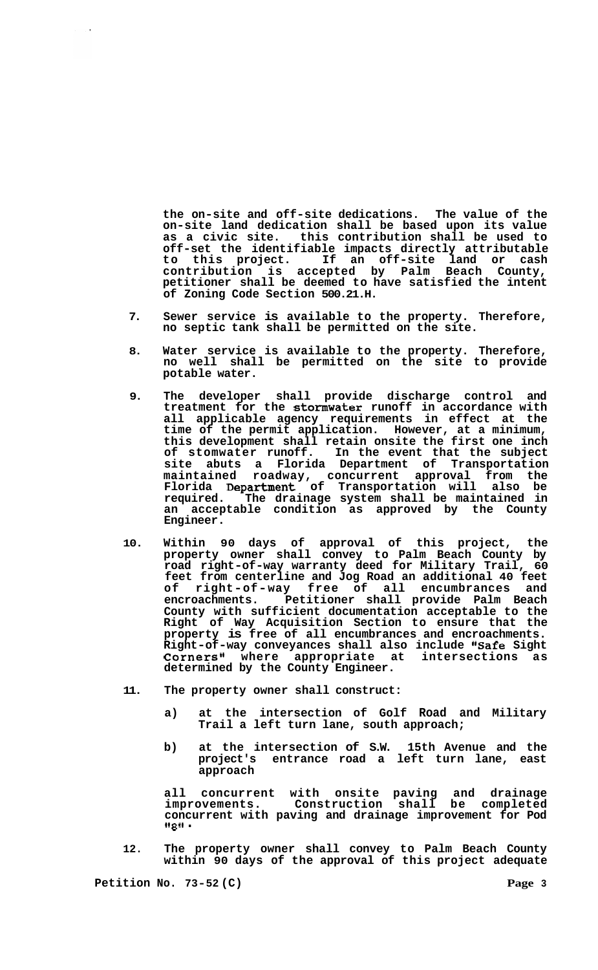**the on-site and off-site dedications. The value of the on-site land dedication shall be based upon its value as a civic site. this contribution shall be used to off-set the identifiable impacts directly attributable to this project. If an off-site land or cash contribution is accepted by Palm Beach County, petitioner shall be deemed to have satisfied the intent of Zoning Code Section 500.21.H.** 

- **7. Sewer service is available to the property. Therefore, no septic tank shall be permitted on the site.**
- **8. Water service is available to the property. Therefore, no well shall be permitted on the site to provide potable water.**
- **9. The developer shall provide discharge control and treatment for the stormwater runoff in accordance with all applicable agency requirements in effect at the time of the permit application. However, at a minimum, this development shall retain onsite the first one inch of stomwater runoff. In the event that the subject site abuts a Florida Department of Transportation maintained roadway, concurrent approval from the Florida Department of Transportation will also be required. The drainage system shall be maintained in an acceptable condition as approved by the County Engineer.**
- **10. Within 90 days of approval of this project, the property owner shall convey to Palm Beach County by road right-of-way warranty deed for Military Trail, 60 feet from centerline and Jog Road an additional 40 feet of right-of-way free of all encumbrances and encroachments. Petitioner shall provide Palm Beach County with sufficient documentation acceptable to the Right of Way Acquisition Section to ensure that the property is free of all encumbrances and encroachments. Right-of-way conveyances shall also include "Safe Sight**  Corners" where appropriate at intersections as **determined by the County Engineer.**
- **11. The property owner shall construct:** 
	- **a) at the intersection of Golf Road and Military Trail a left turn lane, south approach;**
	- **b) at the intersection of S.W. 15th Avenue and the project's entrance road a left turn lane, east approach**

**all concurrent with onsite paving and drainage improvements. Construction shall be completed concurrent with paving and drainage improvement for Pod 11** *8* **It** .

**12. The property owner shall convey to Palm Beach County within 90 days of the approval of this project adequate**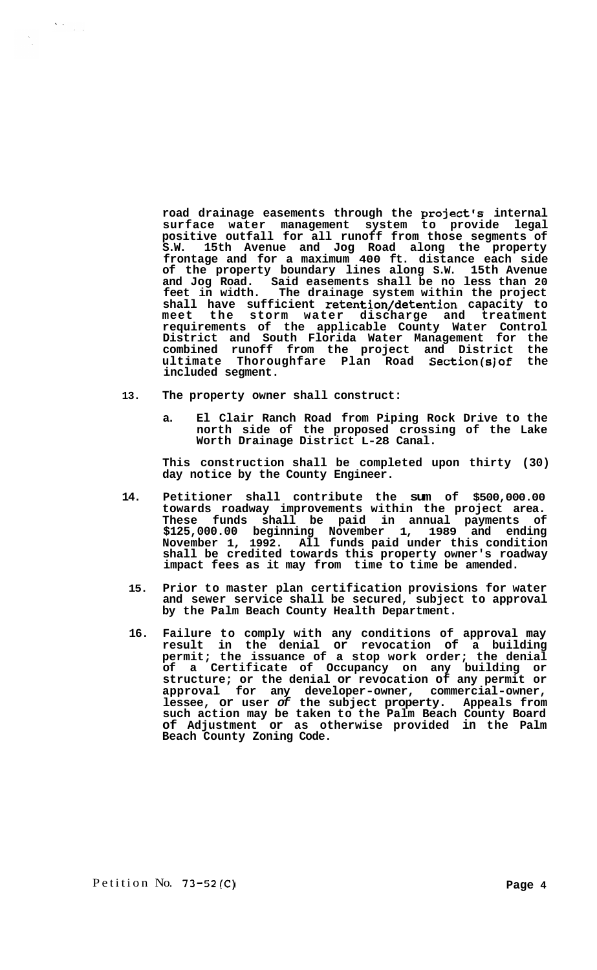**road drainage easements through the project's internal surface water management system to provide legal positive outfall for all runoff from those segments of S.W. 15th Avenue and Jog Road along the property frontage and for a maximum 400 ft. distance each side of the property boundary lines along S.W. 15th Avenue and Jog Road. Said easements shall be no less than 20 feet in width. The drainage system within the project shall have sufficient retention/detention capacity to meet the storm water discharge and treatment requirements of the applicable County Water Control District and South Florida Water Management for the combined runoff from the project and District the ultimate Thoroughfare Plan Road Section(s)of the included segment.** 

**13. The property owner shall construct:** 

 $\sum_{i=1}^n \frac{1}{\left\| \mathcal{L}_i \right\|_{\mathcal{L}_i}^2} \sum_{i=1}^n \frac{1}{\left\| \mathcal{L}_i \right\|_{\mathcal{L}_i}^2}$ 

 $\frac{1}{\sqrt{2}}$ 

**a. El Clair Ranch Road from Piping Rock Drive to the north side of the proposed crossing of the Lake Worth Drainage District L-28 Canal.** 

**This construction shall be completed upon thirty (30) day notice by the County Engineer.** 

- **14. Petitioner shall contribute the sum of \$500,000.00 towards roadway improvements within the project area. These funds shall be paid in annual payments of \$125,000.00 beginning November 1, 1989 and ending November 1, 1992. All funds paid under this condition shall be credited towards this property owner's roadway impact fees as it may from time to time be amended.** 
	- **15. Prior to master plan certification provisions for water and sewer service shall be secured, subject to approval by the Palm Beach County Health Department.**
- **16. Failure to comply with any conditions of approval may result in the denial or revocation of a building permit; the issuance of a stop work order; the denial of a Certificate of Occupancy on any building or structure; or the denial or revocation of any permit or approval for any developer-owner, commercial-owner, lessee, or user** *of* **the subject property. Appeals from such action may be taken to the Palm Beach County Board of Adjustment or as otherwise provided in the Palm Beach County Zoning Code.**